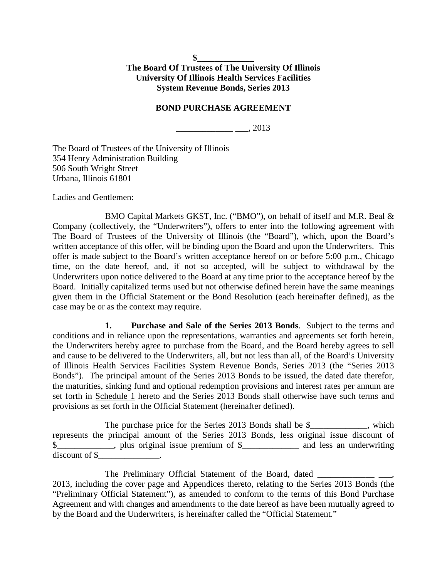**\$\_\_\_\_\_\_\_\_\_\_\_\_\_ The Board Of Trustees of The University Of Illinois University Of Illinois Health Services Facilities System Revenue Bonds, Series 2013**

### **BOND PURCHASE AGREEMENT**

 $\frac{1}{2}$ , 2013

The Board of Trustees of the University of Illinois 354 Henry Administration Building 506 South Wright Street Urbana, Illinois 61801

Ladies and Gentlemen:

BMO Capital Markets GKST, Inc. ("BMO"), on behalf of itself and M.R. Beal & Company (collectively, the "Underwriters"), offers to enter into the following agreement with The Board of Trustees of the University of Illinois (the "Board"), which, upon the Board's written acceptance of this offer, will be binding upon the Board and upon the Underwriters. This offer is made subject to the Board's written acceptance hereof on or before 5:00 p.m., Chicago time, on the date hereof, and, if not so accepted, will be subject to withdrawal by the Underwriters upon notice delivered to the Board at any time prior to the acceptance hereof by the Board. Initially capitalized terms used but not otherwise defined herein have the same meanings given them in the Official Statement or the Bond Resolution (each hereinafter defined), as the case may be or as the context may require.

**1. Purchase and Sale of the Series 2013 Bonds**. Subject to the terms and conditions and in reliance upon the representations, warranties and agreements set forth herein, the Underwriters hereby agree to purchase from the Board, and the Board hereby agrees to sell and cause to be delivered to the Underwriters, all, but not less than all, of the Board's University of Illinois Health Services Facilities System Revenue Bonds, Series 2013 (the "Series 2013 Bonds"). The principal amount of the Series 2013 Bonds to be issued, the dated date therefor, the maturities, sinking fund and optional redemption provisions and interest rates per annum are set forth in Schedule 1 hereto and the Series 2013 Bonds shall otherwise have such terms and provisions as set forth in the Official Statement (hereinafter defined).

The purchase price for the Series 2013 Bonds shall be \$\_\_\_\_\_\_\_\_\_\_, which represents the principal amount of the Series 2013 Bonds, less original issue discount of \$\_\_\_\_\_\_\_\_\_\_\_, plus original issue premium of \$\_\_\_\_\_\_\_\_\_\_\_\_\_ and less an underwriting discount of \$\_\_\_\_\_\_\_\_\_\_\_\_\_\_.

The Preliminary Official Statement of the Board, dated 2013, including the cover page and Appendices thereto, relating to the Series 2013 Bonds (the "Preliminary Official Statement"), as amended to conform to the terms of this Bond Purchase Agreement and with changes and amendments to the date hereof as have been mutually agreed to by the Board and the Underwriters, is hereinafter called the "Official Statement."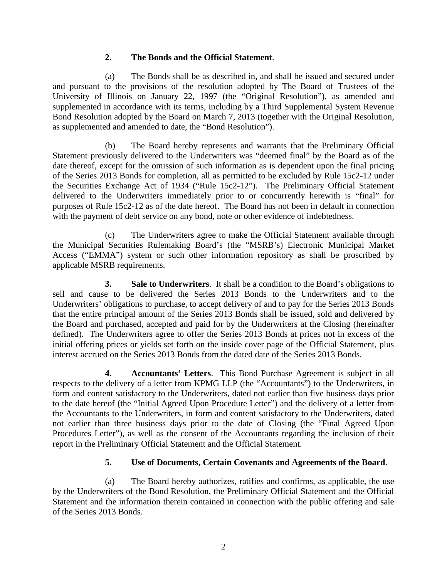### **2. The Bonds and the Official Statement**.

(a) The Bonds shall be as described in, and shall be issued and secured under and pursuant to the provisions of the resolution adopted by The Board of Trustees of the University of Illinois on January 22, 1997 (the "Original Resolution"), as amended and supplemented in accordance with its terms, including by a Third Supplemental System Revenue Bond Resolution adopted by the Board on March 7, 2013 (together with the Original Resolution, as supplemented and amended to date, the "Bond Resolution").

(b) The Board hereby represents and warrants that the Preliminary Official Statement previously delivered to the Underwriters was "deemed final" by the Board as of the date thereof, except for the omission of such information as is dependent upon the final pricing of the Series 2013 Bonds for completion, all as permitted to be excluded by Rule 15c2-12 under the Securities Exchange Act of 1934 ("Rule 15c2-12"). The Preliminary Official Statement delivered to the Underwriters immediately prior to or concurrently herewith is "final" for purposes of Rule 15c2-12 as of the date hereof. The Board has not been in default in connection with the payment of debt service on any bond, note or other evidence of indebtedness.

(c) The Underwriters agree to make the Official Statement available through the Municipal Securities Rulemaking Board's (the "MSRB's) Electronic Municipal Market Access ("EMMA") system or such other information repository as shall be proscribed by applicable MSRB requirements.

**3. Sale to Underwriters**. It shall be a condition to the Board's obligations to sell and cause to be delivered the Series 2013 Bonds to the Underwriters and to the Underwriters' obligations to purchase, to accept delivery of and to pay for the Series 2013 Bonds that the entire principal amount of the Series 2013 Bonds shall be issued, sold and delivered by the Board and purchased, accepted and paid for by the Underwriters at the Closing (hereinafter defined). The Underwriters agree to offer the Series 2013 Bonds at prices not in excess of the initial offering prices or yields set forth on the inside cover page of the Official Statement, plus interest accrued on the Series 2013 Bonds from the dated date of the Series 2013 Bonds.

**4. Accountants' Letters**. This Bond Purchase Agreement is subject in all respects to the delivery of a letter from KPMG LLP (the "Accountants") to the Underwriters, in form and content satisfactory to the Underwriters, dated not earlier than five business days prior to the date hereof (the "Initial Agreed Upon Procedure Letter") and the delivery of a letter from the Accountants to the Underwriters, in form and content satisfactory to the Underwriters, dated not earlier than three business days prior to the date of Closing (the "Final Agreed Upon Procedures Letter"), as well as the consent of the Accountants regarding the inclusion of their report in the Preliminary Official Statement and the Official Statement.

### **5. Use of Documents, Certain Covenants and Agreements of the Board**.

(a) The Board hereby authorizes, ratifies and confirms, as applicable, the use by the Underwriters of the Bond Resolution, the Preliminary Official Statement and the Official Statement and the information therein contained in connection with the public offering and sale of the Series 2013 Bonds.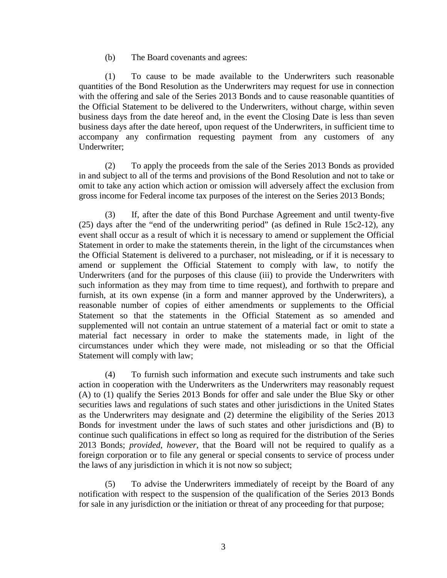(b) The Board covenants and agrees:

(1) To cause to be made available to the Underwriters such reasonable quantities of the Bond Resolution as the Underwriters may request for use in connection with the offering and sale of the Series 2013 Bonds and to cause reasonable quantities of the Official Statement to be delivered to the Underwriters, without charge, within seven business days from the date hereof and, in the event the Closing Date is less than seven business days after the date hereof, upon request of the Underwriters, in sufficient time to accompany any confirmation requesting payment from any customers of any Underwriter;

(2) To apply the proceeds from the sale of the Series 2013 Bonds as provided in and subject to all of the terms and provisions of the Bond Resolution and not to take or omit to take any action which action or omission will adversely affect the exclusion from gross income for Federal income tax purposes of the interest on the Series 2013 Bonds;

(3) If, after the date of this Bond Purchase Agreement and until twenty-five (25) days after the "end of the underwriting period" (as defined in Rule 15c2-12), any event shall occur as a result of which it is necessary to amend or supplement the Official Statement in order to make the statements therein, in the light of the circumstances when the Official Statement is delivered to a purchaser, not misleading, or if it is necessary to amend or supplement the Official Statement to comply with law, to notify the Underwriters (and for the purposes of this clause (iii) to provide the Underwriters with such information as they may from time to time request), and forthwith to prepare and furnish, at its own expense (in a form and manner approved by the Underwriters), a reasonable number of copies of either amendments or supplements to the Official Statement so that the statements in the Official Statement as so amended and supplemented will not contain an untrue statement of a material fact or omit to state a material fact necessary in order to make the statements made, in light of the circumstances under which they were made, not misleading or so that the Official Statement will comply with law;

(4) To furnish such information and execute such instruments and take such action in cooperation with the Underwriters as the Underwriters may reasonably request (A) to (1) qualify the Series 2013 Bonds for offer and sale under the Blue Sky or other securities laws and regulations of such states and other jurisdictions in the United States as the Underwriters may designate and (2) determine the eligibility of the Series 2013 Bonds for investment under the laws of such states and other jurisdictions and (B) to continue such qualifications in effect so long as required for the distribution of the Series 2013 Bonds; *provided*, *however*, that the Board will not be required to qualify as a foreign corporation or to file any general or special consents to service of process under the laws of any jurisdiction in which it is not now so subject;

(5) To advise the Underwriters immediately of receipt by the Board of any notification with respect to the suspension of the qualification of the Series 2013 Bonds for sale in any jurisdiction or the initiation or threat of any proceeding for that purpose;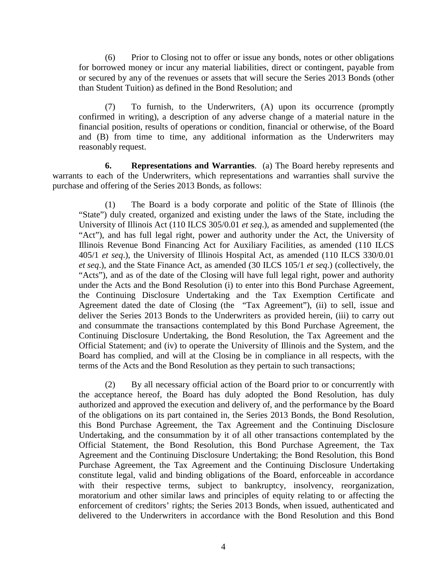(6) Prior to Closing not to offer or issue any bonds, notes or other obligations for borrowed money or incur any material liabilities, direct or contingent, payable from or secured by any of the revenues or assets that will secure the Series 2013 Bonds (other than Student Tuition) as defined in the Bond Resolution; and

(7) To furnish, to the Underwriters, (A) upon its occurrence (promptly confirmed in writing), a description of any adverse change of a material nature in the financial position, results of operations or condition, financial or otherwise, of the Board and (B) from time to time, any additional information as the Underwriters may reasonably request.

**6. Representations and Warranties**. (a) The Board hereby represents and warrants to each of the Underwriters, which representations and warranties shall survive the purchase and offering of the Series 2013 Bonds, as follows:

(1) The Board is a body corporate and politic of the State of Illinois (the "State") duly created, organized and existing under the laws of the State, including the University of Illinois Act (110 ILCS 305/0.01 *et seq*.), as amended and supplemented (the "Act"), and has full legal right, power and authority under the Act, the University of Illinois Revenue Bond Financing Act for Auxiliary Facilities, as amended (110 ILCS 405/1 *et seq*.), the University of Illinois Hospital Act, as amended (110 ILCS 330/0.01 *et seq*.), and the State Finance Act, as amended (30 ILCS 105/1 *et seq*.) (collectively, the "Acts"), and as of the date of the Closing will have full legal right, power and authority under the Acts and the Bond Resolution (i) to enter into this Bond Purchase Agreement, the Continuing Disclosure Undertaking and the Tax Exemption Certificate and Agreement dated the date of Closing (the "Tax Agreement"), (ii) to sell, issue and deliver the Series 2013 Bonds to the Underwriters as provided herein, (iii) to carry out and consummate the transactions contemplated by this Bond Purchase Agreement, the Continuing Disclosure Undertaking, the Bond Resolution, the Tax Agreement and the Official Statement; and (iv) to operate the University of Illinois and the System, and the Board has complied, and will at the Closing be in compliance in all respects, with the terms of the Acts and the Bond Resolution as they pertain to such transactions;

(2) By all necessary official action of the Board prior to or concurrently with the acceptance hereof, the Board has duly adopted the Bond Resolution, has duly authorized and approved the execution and delivery of, and the performance by the Board of the obligations on its part contained in, the Series 2013 Bonds, the Bond Resolution, this Bond Purchase Agreement, the Tax Agreement and the Continuing Disclosure Undertaking, and the consummation by it of all other transactions contemplated by the Official Statement, the Bond Resolution, this Bond Purchase Agreement, the Tax Agreement and the Continuing Disclosure Undertaking; the Bond Resolution, this Bond Purchase Agreement, the Tax Agreement and the Continuing Disclosure Undertaking constitute legal, valid and binding obligations of the Board, enforceable in accordance with their respective terms, subject to bankruptcy, insolvency, reorganization, moratorium and other similar laws and principles of equity relating to or affecting the enforcement of creditors' rights; the Series 2013 Bonds, when issued, authenticated and delivered to the Underwriters in accordance with the Bond Resolution and this Bond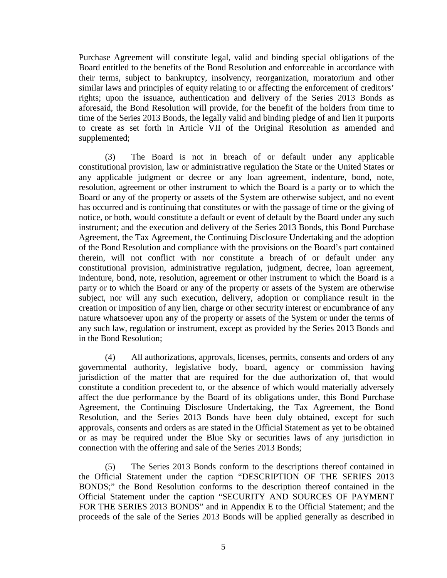Purchase Agreement will constitute legal, valid and binding special obligations of the Board entitled to the benefits of the Bond Resolution and enforceable in accordance with their terms, subject to bankruptcy, insolvency, reorganization, moratorium and other similar laws and principles of equity relating to or affecting the enforcement of creditors' rights; upon the issuance, authentication and delivery of the Series 2013 Bonds as aforesaid, the Bond Resolution will provide, for the benefit of the holders from time to time of the Series 2013 Bonds, the legally valid and binding pledge of and lien it purports to create as set forth in Article VII of the Original Resolution as amended and supplemented;

(3) The Board is not in breach of or default under any applicable constitutional provision, law or administrative regulation the State or the United States or any applicable judgment or decree or any loan agreement, indenture, bond, note, resolution, agreement or other instrument to which the Board is a party or to which the Board or any of the property or assets of the System are otherwise subject, and no event has occurred and is continuing that constitutes or with the passage of time or the giving of notice, or both, would constitute a default or event of default by the Board under any such instrument; and the execution and delivery of the Series 2013 Bonds, this Bond Purchase Agreement, the Tax Agreement, the Continuing Disclosure Undertaking and the adoption of the Bond Resolution and compliance with the provisions on the Board's part contained therein, will not conflict with nor constitute a breach of or default under any constitutional provision, administrative regulation, judgment, decree, loan agreement, indenture, bond, note, resolution, agreement or other instrument to which the Board is a party or to which the Board or any of the property or assets of the System are otherwise subject, nor will any such execution, delivery, adoption or compliance result in the creation or imposition of any lien, charge or other security interest or encumbrance of any nature whatsoever upon any of the property or assets of the System or under the terms of any such law, regulation or instrument, except as provided by the Series 2013 Bonds and in the Bond Resolution;

(4) All authorizations, approvals, licenses, permits, consents and orders of any governmental authority, legislative body, board, agency or commission having jurisdiction of the matter that are required for the due authorization of, that would constitute a condition precedent to, or the absence of which would materially adversely affect the due performance by the Board of its obligations under, this Bond Purchase Agreement, the Continuing Disclosure Undertaking, the Tax Agreement, the Bond Resolution, and the Series 2013 Bonds have been duly obtained, except for such approvals, consents and orders as are stated in the Official Statement as yet to be obtained or as may be required under the Blue Sky or securities laws of any jurisdiction in connection with the offering and sale of the Series 2013 Bonds;

(5) The Series 2013 Bonds conform to the descriptions thereof contained in the Official Statement under the caption "DESCRIPTION OF THE SERIES 2013 BONDS;" the Bond Resolution conforms to the description thereof contained in the Official Statement under the caption "SECURITY AND SOURCES OF PAYMENT FOR THE SERIES 2013 BONDS" and in Appendix E to the Official Statement; and the proceeds of the sale of the Series 2013 Bonds will be applied generally as described in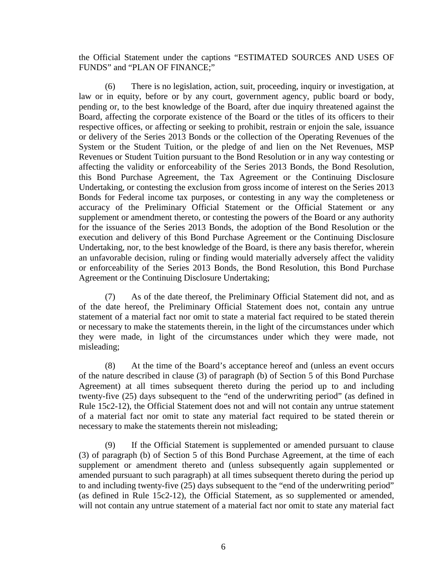the Official Statement under the captions "ESTIMATED SOURCES AND USES OF FUNDS" and "PLAN OF FINANCE;"

(6) There is no legislation, action, suit, proceeding, inquiry or investigation, at law or in equity, before or by any court, government agency, public board or body, pending or, to the best knowledge of the Board, after due inquiry threatened against the Board, affecting the corporate existence of the Board or the titles of its officers to their respective offices, or affecting or seeking to prohibit, restrain or enjoin the sale, issuance or delivery of the Series 2013 Bonds or the collection of the Operating Revenues of the System or the Student Tuition, or the pledge of and lien on the Net Revenues, MSP Revenues or Student Tuition pursuant to the Bond Resolution or in any way contesting or affecting the validity or enforceability of the Series 2013 Bonds, the Bond Resolution, this Bond Purchase Agreement, the Tax Agreement or the Continuing Disclosure Undertaking, or contesting the exclusion from gross income of interest on the Series 2013 Bonds for Federal income tax purposes, or contesting in any way the completeness or accuracy of the Preliminary Official Statement or the Official Statement or any supplement or amendment thereto, or contesting the powers of the Board or any authority for the issuance of the Series 2013 Bonds, the adoption of the Bond Resolution or the execution and delivery of this Bond Purchase Agreement or the Continuing Disclosure Undertaking, nor, to the best knowledge of the Board, is there any basis therefor, wherein an unfavorable decision, ruling or finding would materially adversely affect the validity or enforceability of the Series 2013 Bonds, the Bond Resolution, this Bond Purchase Agreement or the Continuing Disclosure Undertaking;

(7) As of the date thereof, the Preliminary Official Statement did not, and as of the date hereof, the Preliminary Official Statement does not, contain any untrue statement of a material fact nor omit to state a material fact required to be stated therein or necessary to make the statements therein, in the light of the circumstances under which they were made, in light of the circumstances under which they were made, not misleading;

(8) At the time of the Board's acceptance hereof and (unless an event occurs of the nature described in clause (3) of paragraph (b) of Section 5 of this Bond Purchase Agreement) at all times subsequent thereto during the period up to and including twenty-five (25) days subsequent to the "end of the underwriting period" (as defined in Rule 15c2-12), the Official Statement does not and will not contain any untrue statement of a material fact nor omit to state any material fact required to be stated therein or necessary to make the statements therein not misleading;

(9) If the Official Statement is supplemented or amended pursuant to clause (3) of paragraph (b) of Section 5 of this Bond Purchase Agreement, at the time of each supplement or amendment thereto and (unless subsequently again supplemented or amended pursuant to such paragraph) at all times subsequent thereto during the period up to and including twenty-five (25) days subsequent to the "end of the underwriting period" (as defined in Rule 15c2-12), the Official Statement, as so supplemented or amended, will not contain any untrue statement of a material fact nor omit to state any material fact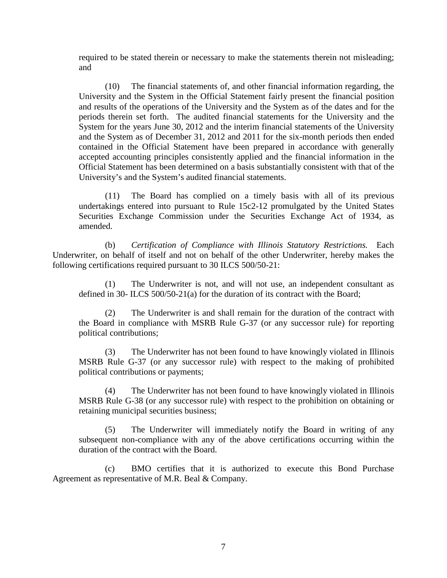required to be stated therein or necessary to make the statements therein not misleading; and

(10) The financial statements of, and other financial information regarding, the University and the System in the Official Statement fairly present the financial position and results of the operations of the University and the System as of the dates and for the periods therein set forth. The audited financial statements for the University and the System for the years June 30, 2012 and the interim financial statements of the University and the System as of December 31, 2012 and 2011 for the six-month periods then ended contained in the Official Statement have been prepared in accordance with generally accepted accounting principles consistently applied and the financial information in the Official Statement has been determined on a basis substantially consistent with that of the University's and the System's audited financial statements.

(11) The Board has complied on a timely basis with all of its previous undertakings entered into pursuant to Rule 15c2-12 promulgated by the United States Securities Exchange Commission under the Securities Exchange Act of 1934, as amended.

(b) *Certification of Compliance with Illinois Statutory Restrictions.* Each Underwriter, on behalf of itself and not on behalf of the other Underwriter, hereby makes the following certifications required pursuant to 30 ILCS 500/50-21:

(1) The Underwriter is not, and will not use, an independent consultant as defined in 30- ILCS 500/50-21(a) for the duration of its contract with the Board;

(2) The Underwriter is and shall remain for the duration of the contract with the Board in compliance with MSRB Rule G-37 (or any successor rule) for reporting political contributions;

(3) The Underwriter has not been found to have knowingly violated in Illinois MSRB Rule G-37 (or any successor rule) with respect to the making of prohibited political contributions or payments;

(4) The Underwriter has not been found to have knowingly violated in Illinois MSRB Rule G-38 (or any successor rule) with respect to the prohibition on obtaining or retaining municipal securities business;

(5) The Underwriter will immediately notify the Board in writing of any subsequent non-compliance with any of the above certifications occurring within the duration of the contract with the Board.

(c) BMO certifies that it is authorized to execute this Bond Purchase Agreement as representative of M.R. Beal & Company.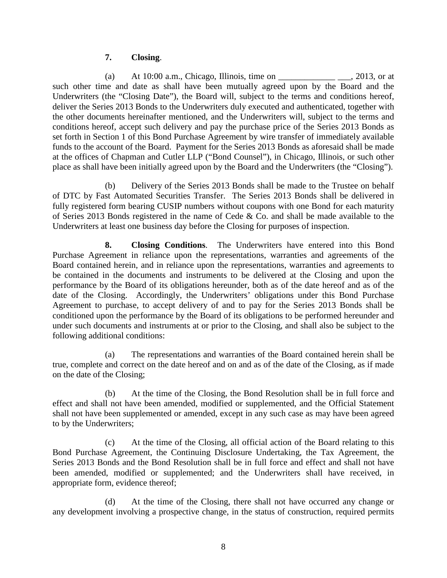### **7. Closing**.

(a) At  $10:00$  a.m., Chicago, Illinois, time on  $\qquad \qquad$  2013, or at such other time and date as shall have been mutually agreed upon by the Board and the Underwriters (the "Closing Date"), the Board will, subject to the terms and conditions hereof, deliver the Series 2013 Bonds to the Underwriters duly executed and authenticated, together with the other documents hereinafter mentioned, and the Underwriters will, subject to the terms and conditions hereof, accept such delivery and pay the purchase price of the Series 2013 Bonds as set forth in Section 1 of this Bond Purchase Agreement by wire transfer of immediately available funds to the account of the Board. Payment for the Series 2013 Bonds as aforesaid shall be made at the offices of Chapman and Cutler LLP ("Bond Counsel"), in Chicago, Illinois, or such other place as shall have been initially agreed upon by the Board and the Underwriters (the "Closing").

(b) Delivery of the Series 2013 Bonds shall be made to the Trustee on behalf of DTC by Fast Automated Securities Transfer. The Series 2013 Bonds shall be delivered in fully registered form bearing CUSIP numbers without coupons with one Bond for each maturity of Series 2013 Bonds registered in the name of Cede & Co. and shall be made available to the Underwriters at least one business day before the Closing for purposes of inspection.

**8. Closing Conditions**. The Underwriters have entered into this Bond Purchase Agreement in reliance upon the representations, warranties and agreements of the Board contained herein, and in reliance upon the representations, warranties and agreements to be contained in the documents and instruments to be delivered at the Closing and upon the performance by the Board of its obligations hereunder, both as of the date hereof and as of the date of the Closing. Accordingly, the Underwriters' obligations under this Bond Purchase Agreement to purchase, to accept delivery of and to pay for the Series 2013 Bonds shall be conditioned upon the performance by the Board of its obligations to be performed hereunder and under such documents and instruments at or prior to the Closing, and shall also be subject to the following additional conditions:

(a) The representations and warranties of the Board contained herein shall be true, complete and correct on the date hereof and on and as of the date of the Closing, as if made on the date of the Closing;

(b) At the time of the Closing, the Bond Resolution shall be in full force and effect and shall not have been amended, modified or supplemented, and the Official Statement shall not have been supplemented or amended, except in any such case as may have been agreed to by the Underwriters;

(c) At the time of the Closing, all official action of the Board relating to this Bond Purchase Agreement, the Continuing Disclosure Undertaking, the Tax Agreement, the Series 2013 Bonds and the Bond Resolution shall be in full force and effect and shall not have been amended, modified or supplemented; and the Underwriters shall have received, in appropriate form, evidence thereof;

(d) At the time of the Closing, there shall not have occurred any change or any development involving a prospective change, in the status of construction, required permits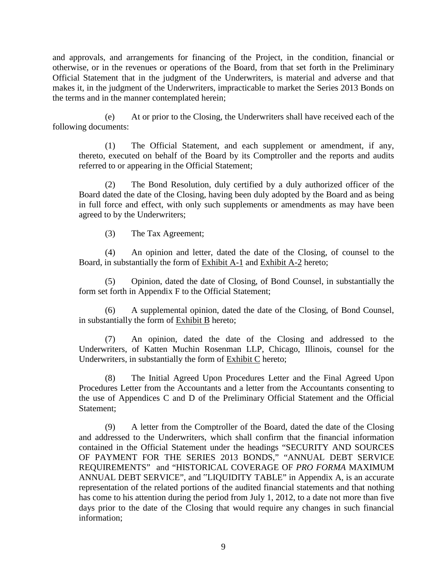and approvals, and arrangements for financing of the Project, in the condition, financial or otherwise, or in the revenues or operations of the Board, from that set forth in the Preliminary Official Statement that in the judgment of the Underwriters, is material and adverse and that makes it, in the judgment of the Underwriters, impracticable to market the Series 2013 Bonds on the terms and in the manner contemplated herein;

(e) At or prior to the Closing, the Underwriters shall have received each of the following documents:

(1) The Official Statement, and each supplement or amendment, if any, thereto, executed on behalf of the Board by its Comptroller and the reports and audits referred to or appearing in the Official Statement;

(2) The Bond Resolution, duly certified by a duly authorized officer of the Board dated the date of the Closing, having been duly adopted by the Board and as being in full force and effect, with only such supplements or amendments as may have been agreed to by the Underwriters;

(3) The Tax Agreement;

(4) An opinion and letter, dated the date of the Closing, of counsel to the Board, in substantially the form of Exhibit A-1 and Exhibit A-2 hereto;

(5) Opinion, dated the date of Closing, of Bond Counsel, in substantially the form set forth in Appendix F to the Official Statement;

(6) A supplemental opinion, dated the date of the Closing, of Bond Counsel, in substantially the form of **Exhibit B** hereto;

(7) An opinion, dated the date of the Closing and addressed to the Underwriters, of Katten Muchin Rosenman LLP, Chicago, Illinois, counsel for the Underwriters, in substantially the form of Exhibit C hereto;

(8) The Initial Agreed Upon Procedures Letter and the Final Agreed Upon Procedures Letter from the Accountants and a letter from the Accountants consenting to the use of Appendices C and D of the Preliminary Official Statement and the Official Statement;

(9) A letter from the Comptroller of the Board, dated the date of the Closing and addressed to the Underwriters, which shall confirm that the financial information contained in the Official Statement under the headings "SECURITY AND SOURCES OF PAYMENT FOR THE SERIES 2013 BONDS," "ANNUAL DEBT SERVICE REQUIREMENTS" and "HISTORICAL COVERAGE OF *PRO FORMA* MAXIMUM ANNUAL DEBT SERVICE", and "LIQUIDITY TABLE" in Appendix A, is an accurate representation of the related portions of the audited financial statements and that nothing has come to his attention during the period from July 1, 2012, to a date not more than five days prior to the date of the Closing that would require any changes in such financial information;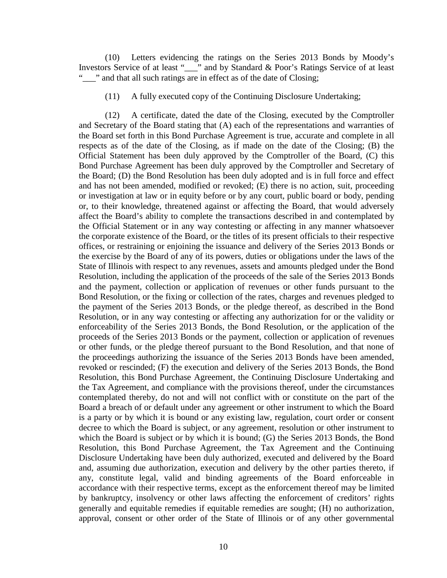(10) Letters evidencing the ratings on the Series 2013 Bonds by Moody's Investors Service of at least "\_\_\_" and by Standard & Poor's Ratings Service of at least "..." and that all such ratings are in effect as of the date of Closing;

(11) A fully executed copy of the Continuing Disclosure Undertaking;

(12) A certificate, dated the date of the Closing, executed by the Comptroller and Secretary of the Board stating that (A) each of the representations and warranties of the Board set forth in this Bond Purchase Agreement is true, accurate and complete in all respects as of the date of the Closing, as if made on the date of the Closing; (B) the Official Statement has been duly approved by the Comptroller of the Board, (C) this Bond Purchase Agreement has been duly approved by the Comptroller and Secretary of the Board; (D) the Bond Resolution has been duly adopted and is in full force and effect and has not been amended, modified or revoked; (E) there is no action, suit, proceeding or investigation at law or in equity before or by any court, public board or body, pending or, to their knowledge, threatened against or affecting the Board, that would adversely affect the Board's ability to complete the transactions described in and contemplated by the Official Statement or in any way contesting or affecting in any manner whatsoever the corporate existence of the Board, or the titles of its present officials to their respective offices, or restraining or enjoining the issuance and delivery of the Series 2013 Bonds or the exercise by the Board of any of its powers, duties or obligations under the laws of the State of Illinois with respect to any revenues, assets and amounts pledged under the Bond Resolution, including the application of the proceeds of the sale of the Series 2013 Bonds and the payment, collection or application of revenues or other funds pursuant to the Bond Resolution, or the fixing or collection of the rates, charges and revenues pledged to the payment of the Series 2013 Bonds, or the pledge thereof, as described in the Bond Resolution, or in any way contesting or affecting any authorization for or the validity or enforceability of the Series 2013 Bonds, the Bond Resolution, or the application of the proceeds of the Series 2013 Bonds or the payment, collection or application of revenues or other funds, or the pledge thereof pursuant to the Bond Resolution, and that none of the proceedings authorizing the issuance of the Series 2013 Bonds have been amended, revoked or rescinded; (F) the execution and delivery of the Series 2013 Bonds, the Bond Resolution, this Bond Purchase Agreement, the Continuing Disclosure Undertaking and the Tax Agreement, and compliance with the provisions thereof, under the circumstances contemplated thereby, do not and will not conflict with or constitute on the part of the Board a breach of or default under any agreement or other instrument to which the Board is a party or by which it is bound or any existing law, regulation, court order or consent decree to which the Board is subject, or any agreement, resolution or other instrument to which the Board is subject or by which it is bound; (G) the Series 2013 Bonds, the Bond Resolution, this Bond Purchase Agreement, the Tax Agreement and the Continuing Disclosure Undertaking have been duly authorized, executed and delivered by the Board and, assuming due authorization, execution and delivery by the other parties thereto, if any, constitute legal, valid and binding agreements of the Board enforceable in accordance with their respective terms, except as the enforcement thereof may be limited by bankruptcy, insolvency or other laws affecting the enforcement of creditors' rights generally and equitable remedies if equitable remedies are sought; (H) no authorization, approval, consent or other order of the State of Illinois or of any other governmental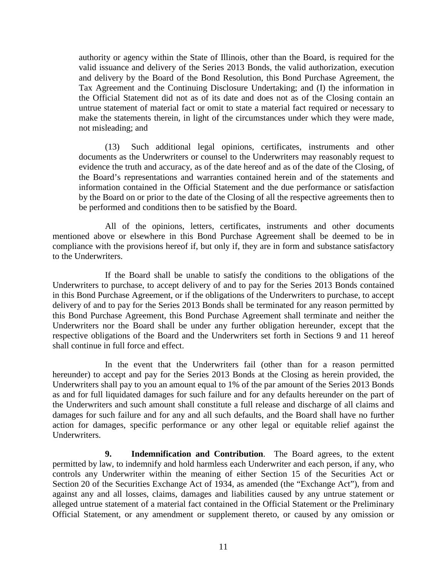authority or agency within the State of Illinois, other than the Board, is required for the valid issuance and delivery of the Series 2013 Bonds, the valid authorization, execution and delivery by the Board of the Bond Resolution, this Bond Purchase Agreement, the Tax Agreement and the Continuing Disclosure Undertaking; and (I) the information in the Official Statement did not as of its date and does not as of the Closing contain an untrue statement of material fact or omit to state a material fact required or necessary to make the statements therein, in light of the circumstances under which they were made, not misleading; and

(13) Such additional legal opinions, certificates, instruments and other documents as the Underwriters or counsel to the Underwriters may reasonably request to evidence the truth and accuracy, as of the date hereof and as of the date of the Closing, of the Board's representations and warranties contained herein and of the statements and information contained in the Official Statement and the due performance or satisfaction by the Board on or prior to the date of the Closing of all the respective agreements then to be performed and conditions then to be satisfied by the Board.

All of the opinions, letters, certificates, instruments and other documents mentioned above or elsewhere in this Bond Purchase Agreement shall be deemed to be in compliance with the provisions hereof if, but only if, they are in form and substance satisfactory to the Underwriters.

If the Board shall be unable to satisfy the conditions to the obligations of the Underwriters to purchase, to accept delivery of and to pay for the Series 2013 Bonds contained in this Bond Purchase Agreement, or if the obligations of the Underwriters to purchase, to accept delivery of and to pay for the Series 2013 Bonds shall be terminated for any reason permitted by this Bond Purchase Agreement, this Bond Purchase Agreement shall terminate and neither the Underwriters nor the Board shall be under any further obligation hereunder, except that the respective obligations of the Board and the Underwriters set forth in Sections 9 and 11 hereof shall continue in full force and effect.

In the event that the Underwriters fail (other than for a reason permitted hereunder) to accept and pay for the Series 2013 Bonds at the Closing as herein provided, the Underwriters shall pay to you an amount equal to 1% of the par amount of the Series 2013 Bonds as and for full liquidated damages for such failure and for any defaults hereunder on the part of the Underwriters and such amount shall constitute a full release and discharge of all claims and damages for such failure and for any and all such defaults, and the Board shall have no further action for damages, specific performance or any other legal or equitable relief against the Underwriters.

**9. Indemnification and Contribution**. The Board agrees, to the extent permitted by law, to indemnify and hold harmless each Underwriter and each person, if any, who controls any Underwriter within the meaning of either Section 15 of the Securities Act or Section 20 of the Securities Exchange Act of 1934, as amended (the "Exchange Act"), from and against any and all losses, claims, damages and liabilities caused by any untrue statement or alleged untrue statement of a material fact contained in the Official Statement or the Preliminary Official Statement, or any amendment or supplement thereto, or caused by any omission or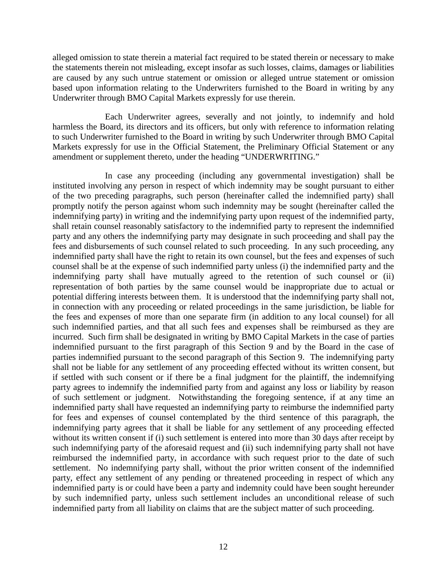alleged omission to state therein a material fact required to be stated therein or necessary to make the statements therein not misleading, except insofar as such losses, claims, damages or liabilities are caused by any such untrue statement or omission or alleged untrue statement or omission based upon information relating to the Underwriters furnished to the Board in writing by any Underwriter through BMO Capital Markets expressly for use therein.

Each Underwriter agrees, severally and not jointly, to indemnify and hold harmless the Board, its directors and its officers, but only with reference to information relating to such Underwriter furnished to the Board in writing by such Underwriter through BMO Capital Markets expressly for use in the Official Statement, the Preliminary Official Statement or any amendment or supplement thereto, under the heading "UNDERWRITING."

In case any proceeding (including any governmental investigation) shall be instituted involving any person in respect of which indemnity may be sought pursuant to either of the two preceding paragraphs, such person (hereinafter called the indemnified party) shall promptly notify the person against whom such indemnity may be sought (hereinafter called the indemnifying party) in writing and the indemnifying party upon request of the indemnified party, shall retain counsel reasonably satisfactory to the indemnified party to represent the indemnified party and any others the indemnifying party may designate in such proceeding and shall pay the fees and disbursements of such counsel related to such proceeding. In any such proceeding, any indemnified party shall have the right to retain its own counsel, but the fees and expenses of such counsel shall be at the expense of such indemnified party unless (i) the indemnified party and the indemnifying party shall have mutually agreed to the retention of such counsel or (ii) representation of both parties by the same counsel would be inappropriate due to actual or potential differing interests between them. It is understood that the indemnifying party shall not, in connection with any proceeding or related proceedings in the same jurisdiction, be liable for the fees and expenses of more than one separate firm (in addition to any local counsel) for all such indemnified parties, and that all such fees and expenses shall be reimbursed as they are incurred. Such firm shall be designated in writing by BMO Capital Markets in the case of parties indemnified pursuant to the first paragraph of this Section 9 and by the Board in the case of parties indemnified pursuant to the second paragraph of this Section 9. The indemnifying party shall not be liable for any settlement of any proceeding effected without its written consent, but if settled with such consent or if there be a final judgment for the plaintiff, the indemnifying party agrees to indemnify the indemnified party from and against any loss or liability by reason of such settlement or judgment. Notwithstanding the foregoing sentence, if at any time an indemnified party shall have requested an indemnifying party to reimburse the indemnified party for fees and expenses of counsel contemplated by the third sentence of this paragraph, the indemnifying party agrees that it shall be liable for any settlement of any proceeding effected without its written consent if (i) such settlement is entered into more than 30 days after receipt by such indemnifying party of the aforesaid request and (ii) such indemnifying party shall not have reimbursed the indemnified party, in accordance with such request prior to the date of such settlement. No indemnifying party shall, without the prior written consent of the indemnified party, effect any settlement of any pending or threatened proceeding in respect of which any indemnified party is or could have been a party and indemnity could have been sought hereunder by such indemnified party, unless such settlement includes an unconditional release of such indemnified party from all liability on claims that are the subject matter of such proceeding.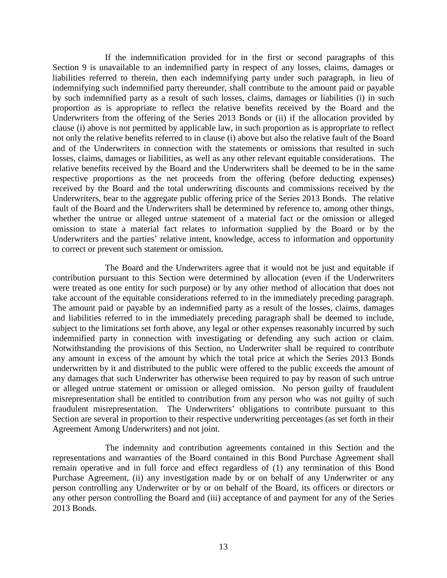If the indemnification provided for in the first or second paragraphs of this Section 9 is unavailable to an indemnified party in respect of any losses, claims, damages or liabilities referred to therein, then each indemnifying party under such paragraph, in lieu of indemnifying such indemnified party thereunder, shall contribute to the amount paid or payable by such indemnified party as a result of such losses, claims, damages or liabilities (i) in such proportion as is appropriate to reflect the relative benefits received by the Board and the Underwriters from the offering of the Series 2013 Bonds or (ii) if the allocation provided by clause (i) above is not permitted by applicable law, in such proportion as is appropriate to reflect not only the relative benefits referred to in clause (i) above but also the relative fault of the Board and of the Underwriters in connection with the statements or omissions that resulted in such losses, claims, damages or liabilities, as well as any other relevant equitable considerations. The relative benefits received by the Board and the Underwriters shall be deemed to be in the same respective proportions as the net proceeds from the offering (before deducting expenses) received by the Board and the total underwriting discounts and commissions received by the Underwriters, bear to the aggregate public offering price of the Series 2013 Bonds. The relative fault of the Board and the Underwriters shall be determined by reference to, among other things, whether the untrue or alleged untrue statement of a material fact or the omission or alleged omission to state a material fact relates to information supplied by the Board or by the Underwriters and the parties' relative intent, knowledge, access to information and opportunity to correct or prevent such statement or omission.

The Board and the Underwriters agree that it would not be just and equitable if contribution pursuant to this Section were determined by allocation (even if the Underwriters were treated as one entity for such purpose) or by any other method of allocation that does not take account of the equitable considerations referred to in the immediately preceding paragraph. The amount paid or payable by an indemnified party as a result of the losses, claims, damages and liabilities referred to in the immediately preceding paragraph shall be deemed to include, subject to the limitations set forth above, any legal or other expenses reasonably incurred by such indemnified party in connection with investigating or defending any such action or claim. Notwithstanding the provisions of this Section, no Underwriter shall be required to contribute any amount in excess of the amount by which the total price at which the Series 2013 Bonds underwritten by it and distributed to the public were offered to the public exceeds the amount of any damages that such Underwriter has otherwise been required to pay by reason of such untrue or alleged untrue statement or omission or alleged omission. No person guilty of fraudulent misrepresentation shall be entitled to contribution from any person who was not guilty of such fraudulent misrepresentation. The Underwriters' obligations to contribute pursuant to this Section are several in proportion to their respective underwriting percentages (as set forth in their Agreement Among Underwriters) and not joint.

The indemnity and contribution agreements contained in this Section and the representations and warranties of the Board contained in this Bond Purchase Agreement shall remain operative and in full force and effect regardless of (1) any termination of this Bond Purchase Agreement, (ii) any investigation made by or on behalf of any Underwriter or any person controlling any Underwriter or by or on behalf of the Board, its officers or directors or any other person controlling the Board and (iii) acceptance of and payment for any of the Series 2013 Bonds.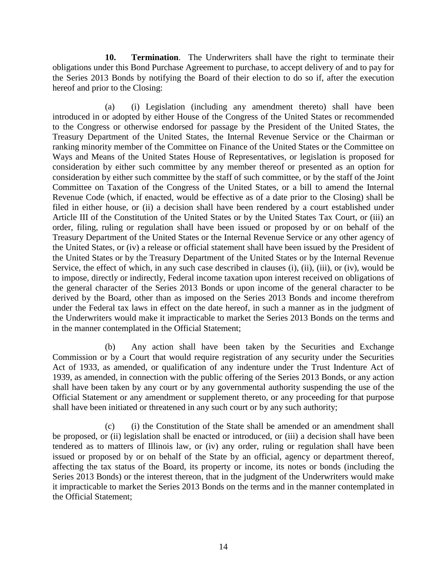**10. Termination**. The Underwriters shall have the right to terminate their obligations under this Bond Purchase Agreement to purchase, to accept delivery of and to pay for the Series 2013 Bonds by notifying the Board of their election to do so if, after the execution hereof and prior to the Closing:

(a) (i) Legislation (including any amendment thereto) shall have been introduced in or adopted by either House of the Congress of the United States or recommended to the Congress or otherwise endorsed for passage by the President of the United States, the Treasury Department of the United States, the Internal Revenue Service or the Chairman or ranking minority member of the Committee on Finance of the United States or the Committee on Ways and Means of the United States House of Representatives, or legislation is proposed for consideration by either such committee by any member thereof or presented as an option for consideration by either such committee by the staff of such committee, or by the staff of the Joint Committee on Taxation of the Congress of the United States, or a bill to amend the Internal Revenue Code (which, if enacted, would be effective as of a date prior to the Closing) shall be filed in either house, or (ii) a decision shall have been rendered by a court established under Article III of the Constitution of the United States or by the United States Tax Court, or (iii) an order, filing, ruling or regulation shall have been issued or proposed by or on behalf of the Treasury Department of the United States or the Internal Revenue Service or any other agency of the United States, or (iv) a release or official statement shall have been issued by the President of the United States or by the Treasury Department of the United States or by the Internal Revenue Service, the effect of which, in any such case described in clauses (i), (ii), (iii), or (iv), would be to impose, directly or indirectly, Federal income taxation upon interest received on obligations of the general character of the Series 2013 Bonds or upon income of the general character to be derived by the Board, other than as imposed on the Series 2013 Bonds and income therefrom under the Federal tax laws in effect on the date hereof, in such a manner as in the judgment of the Underwriters would make it impracticable to market the Series 2013 Bonds on the terms and in the manner contemplated in the Official Statement;

(b) Any action shall have been taken by the Securities and Exchange Commission or by a Court that would require registration of any security under the Securities Act of 1933, as amended, or qualification of any indenture under the Trust Indenture Act of 1939, as amended, in connection with the public offering of the Series 2013 Bonds, or any action shall have been taken by any court or by any governmental authority suspending the use of the Official Statement or any amendment or supplement thereto, or any proceeding for that purpose shall have been initiated or threatened in any such court or by any such authority;

(c) (i) the Constitution of the State shall be amended or an amendment shall be proposed, or (ii) legislation shall be enacted or introduced, or (iii) a decision shall have been tendered as to matters of Illinois law, or (iv) any order, ruling or regulation shall have been issued or proposed by or on behalf of the State by an official, agency or department thereof, affecting the tax status of the Board, its property or income, its notes or bonds (including the Series 2013 Bonds) or the interest thereon, that in the judgment of the Underwriters would make it impracticable to market the Series 2013 Bonds on the terms and in the manner contemplated in the Official Statement;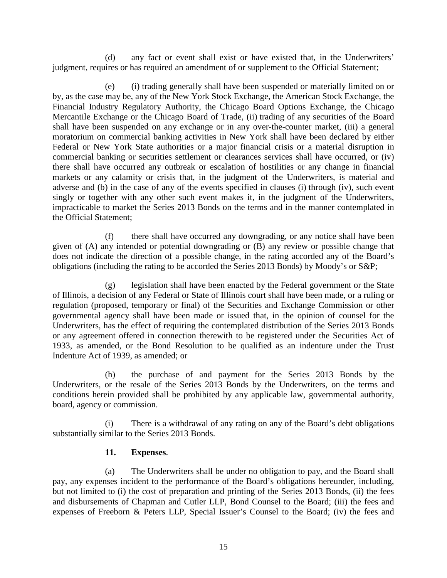(d) any fact or event shall exist or have existed that, in the Underwriters' judgment, requires or has required an amendment of or supplement to the Official Statement;

(e) (i) trading generally shall have been suspended or materially limited on or by, as the case may be, any of the New York Stock Exchange, the American Stock Exchange, the Financial Industry Regulatory Authority, the Chicago Board Options Exchange, the Chicago Mercantile Exchange or the Chicago Board of Trade, (ii) trading of any securities of the Board shall have been suspended on any exchange or in any over-the-counter market, (iii) a general moratorium on commercial banking activities in New York shall have been declared by either Federal or New York State authorities or a major financial crisis or a material disruption in commercial banking or securities settlement or clearances services shall have occurred, or (iv) there shall have occurred any outbreak or escalation of hostilities or any change in financial markets or any calamity or crisis that, in the judgment of the Underwriters, is material and adverse and (b) in the case of any of the events specified in clauses (i) through (iv), such event singly or together with any other such event makes it, in the judgment of the Underwriters, impracticable to market the Series 2013 Bonds on the terms and in the manner contemplated in the Official Statement;

(f) there shall have occurred any downgrading, or any notice shall have been given of (A) any intended or potential downgrading or (B) any review or possible change that does not indicate the direction of a possible change, in the rating accorded any of the Board's obligations (including the rating to be accorded the Series 2013 Bonds) by Moody's or S&P;

(g) legislation shall have been enacted by the Federal government or the State of Illinois, a decision of any Federal or State of Illinois court shall have been made, or a ruling or regulation (proposed, temporary or final) of the Securities and Exchange Commission or other governmental agency shall have been made or issued that, in the opinion of counsel for the Underwriters, has the effect of requiring the contemplated distribution of the Series 2013 Bonds or any agreement offered in connection therewith to be registered under the Securities Act of 1933, as amended, or the Bond Resolution to be qualified as an indenture under the Trust Indenture Act of 1939, as amended; or

(h) the purchase of and payment for the Series 2013 Bonds by the Underwriters, or the resale of the Series 2013 Bonds by the Underwriters, on the terms and conditions herein provided shall be prohibited by any applicable law, governmental authority, board, agency or commission.

(i) There is a withdrawal of any rating on any of the Board's debt obligations substantially similar to the Series 2013 Bonds.

### **11. Expenses**.

(a) The Underwriters shall be under no obligation to pay, and the Board shall pay, any expenses incident to the performance of the Board's obligations hereunder, including, but not limited to (i) the cost of preparation and printing of the Series 2013 Bonds, (ii) the fees and disbursements of Chapman and Cutler LLP, Bond Counsel to the Board; (iii) the fees and expenses of Freeborn & Peters LLP, Special Issuer's Counsel to the Board; (iv) the fees and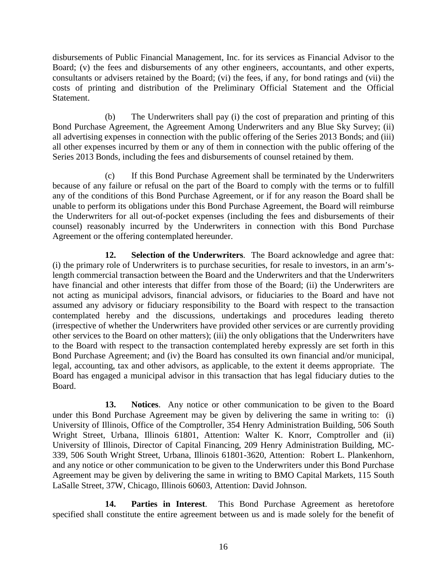disbursements of Public Financial Management, Inc. for its services as Financial Advisor to the Board; (v) the fees and disbursements of any other engineers, accountants, and other experts, consultants or advisers retained by the Board; (vi) the fees, if any, for bond ratings and (vii) the costs of printing and distribution of the Preliminary Official Statement and the Official Statement.

(b) The Underwriters shall pay (i) the cost of preparation and printing of this Bond Purchase Agreement, the Agreement Among Underwriters and any Blue Sky Survey; (ii) all advertising expenses in connection with the public offering of the Series 2013 Bonds; and (iii) all other expenses incurred by them or any of them in connection with the public offering of the Series 2013 Bonds, including the fees and disbursements of counsel retained by them.

(c) If this Bond Purchase Agreement shall be terminated by the Underwriters because of any failure or refusal on the part of the Board to comply with the terms or to fulfill any of the conditions of this Bond Purchase Agreement, or if for any reason the Board shall be unable to perform its obligations under this Bond Purchase Agreement, the Board will reimburse the Underwriters for all out-of-pocket expenses (including the fees and disbursements of their counsel) reasonably incurred by the Underwriters in connection with this Bond Purchase Agreement or the offering contemplated hereunder.

**12. Selection of the Underwriters**. The Board acknowledge and agree that: (i) the primary role of Underwriters is to purchase securities, for resale to investors, in an arm'slength commercial transaction between the Board and the Underwriters and that the Underwriters have financial and other interests that differ from those of the Board; (ii) the Underwriters are not acting as municipal advisors, financial advisors, or fiduciaries to the Board and have not assumed any advisory or fiduciary responsibility to the Board with respect to the transaction contemplated hereby and the discussions, undertakings and procedures leading thereto (irrespective of whether the Underwriters have provided other services or are currently providing other services to the Board on other matters); (iii) the only obligations that the Underwriters have to the Board with respect to the transaction contemplated hereby expressly are set forth in this Bond Purchase Agreement; and (iv) the Board has consulted its own financial and/or municipal, legal, accounting, tax and other advisors, as applicable, to the extent it deems appropriate. The Board has engaged a municipal advisor in this transaction that has legal fiduciary duties to the Board.

**13. Notices**. Any notice or other communication to be given to the Board under this Bond Purchase Agreement may be given by delivering the same in writing to: (i) University of Illinois, Office of the Comptroller, 354 Henry Administration Building, 506 South Wright Street, Urbana, Illinois 61801, Attention: Walter K. Knorr, Comptroller and (ii) University of Illinois, Director of Capital Financing, 209 Henry Administration Building, MC-339, 506 South Wright Street, Urbana, Illinois 61801-3620, Attention: Robert L. Plankenhorn, and any notice or other communication to be given to the Underwriters under this Bond Purchase Agreement may be given by delivering the same in writing to BMO Capital Markets, 115 South LaSalle Street, 37W, Chicago, Illinois 60603, Attention: David Johnson.

**14. Parties in Interest**. This Bond Purchase Agreement as heretofore specified shall constitute the entire agreement between us and is made solely for the benefit of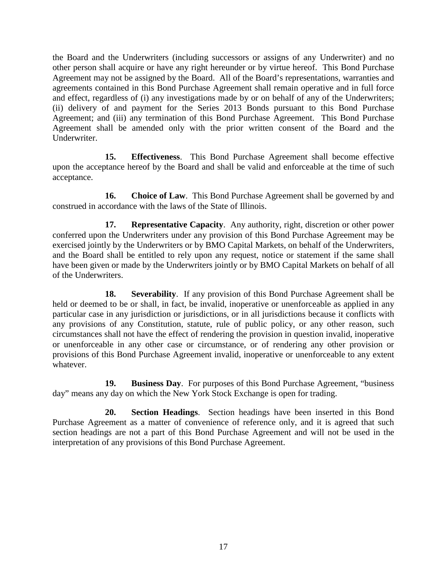the Board and the Underwriters (including successors or assigns of any Underwriter) and no other person shall acquire or have any right hereunder or by virtue hereof. This Bond Purchase Agreement may not be assigned by the Board. All of the Board's representations, warranties and agreements contained in this Bond Purchase Agreement shall remain operative and in full force and effect, regardless of (i) any investigations made by or on behalf of any of the Underwriters; (ii) delivery of and payment for the Series 2013 Bonds pursuant to this Bond Purchase Agreement; and (iii) any termination of this Bond Purchase Agreement. This Bond Purchase Agreement shall be amended only with the prior written consent of the Board and the Underwriter.

**15. Effectiveness**. This Bond Purchase Agreement shall become effective upon the acceptance hereof by the Board and shall be valid and enforceable at the time of such acceptance.

**16. Choice of Law**. This Bond Purchase Agreement shall be governed by and construed in accordance with the laws of the State of Illinois.

**17. Representative Capacity**. Any authority, right, discretion or other power conferred upon the Underwriters under any provision of this Bond Purchase Agreement may be exercised jointly by the Underwriters or by BMO Capital Markets, on behalf of the Underwriters, and the Board shall be entitled to rely upon any request, notice or statement if the same shall have been given or made by the Underwriters jointly or by BMO Capital Markets on behalf of all of the Underwriters.

**18. Severability**. If any provision of this Bond Purchase Agreement shall be held or deemed to be or shall, in fact, be invalid, inoperative or unenforceable as applied in any particular case in any jurisdiction or jurisdictions, or in all jurisdictions because it conflicts with any provisions of any Constitution, statute, rule of public policy, or any other reason, such circumstances shall not have the effect of rendering the provision in question invalid, inoperative or unenforceable in any other case or circumstance, or of rendering any other provision or provisions of this Bond Purchase Agreement invalid, inoperative or unenforceable to any extent whatever.

**19. Business Day**. For purposes of this Bond Purchase Agreement, "business day" means any day on which the New York Stock Exchange is open for trading.

**20. Section Headings**. Section headings have been inserted in this Bond Purchase Agreement as a matter of convenience of reference only, and it is agreed that such section headings are not a part of this Bond Purchase Agreement and will not be used in the interpretation of any provisions of this Bond Purchase Agreement.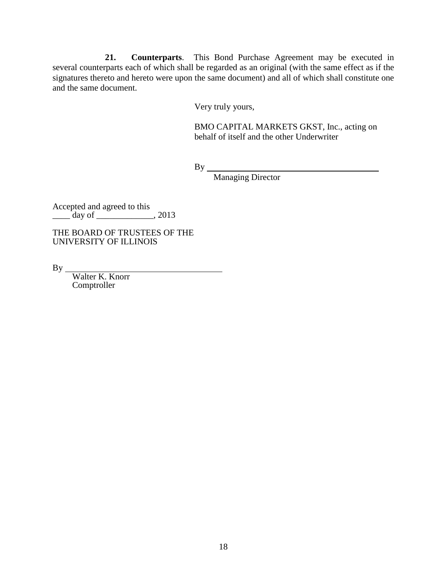**21. Counterparts**. This Bond Purchase Agreement may be executed in several counterparts each of which shall be regarded as an original (with the same effect as if the signatures thereto and hereto were upon the same document) and all of which shall constitute one and the same document.

Very truly yours,

BMO CAPITAL MARKETS GKST, Inc., acting on behalf of itself and the other Underwriter

 $By$ <sub>-</sub>

Managing Director

Accepted and agreed to this  $\frac{1}{\text{day of}}$   $\frac{1}{\text{day of}}$   $\frac{1}{\text{day of}}$ 

THE BOARD OF TRUSTEES OF THE UNIVERSITY OF ILLINOIS

 $By_$ 

Walter K. Knorr Comptroller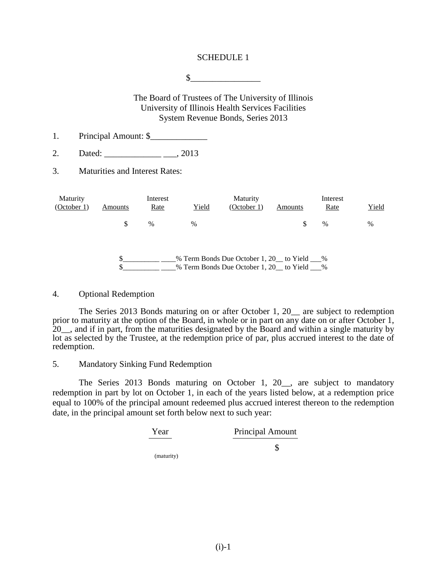#### SCHEDULE 1

 $\frac{\sqrt{2}}{2}$ 

The Board of Trustees of The University of Illinois University of Illinois Health Services Facilities System Revenue Bonds, Series 2013

- 1. Principal Amount: \$
- 2. Dated: \_\_\_\_\_\_\_\_\_\_\_\_\_ \_\_\_, 2013
- 3. Maturities and Interest Rates:

| Maturity<br>(October 1) | Amounts | Interest<br>Rate | Yield | Maturity<br>(October 1)                                                                | Amounts | Interest<br>Rate | Yield |
|-------------------------|---------|------------------|-------|----------------------------------------------------------------------------------------|---------|------------------|-------|
|                         | S       | $\%$             | $\%$  |                                                                                        |         | $\%$             | $\%$  |
|                         |         |                  |       | % Term Bonds Due October 1, 20 to Yield %<br>% Term Bonds Due October 1, 20 to Yield % |         |                  |       |

#### 4. Optional Redemption

The Series 2013 Bonds maturing on or after October 1, 20\_\_ are subject to redemption prior to maturity at the option of the Board, in whole or in part on any date on or after October 1, 20\_\_, and if in part, from the maturities designated by the Board and within a single maturity by lot as selected by the Trustee, at the redemption price of par, plus accrued interest to the date of redemption.

#### 5. Mandatory Sinking Fund Redemption

The Series 2013 Bonds maturing on October 1, 20\_\_, are subject to mandatory redemption in part by lot on October 1, in each of the years listed below, at a redemption price equal to 100% of the principal amount redeemed plus accrued interest thereon to the redemption date, in the principal amount set forth below next to such year:

\$

(maturity)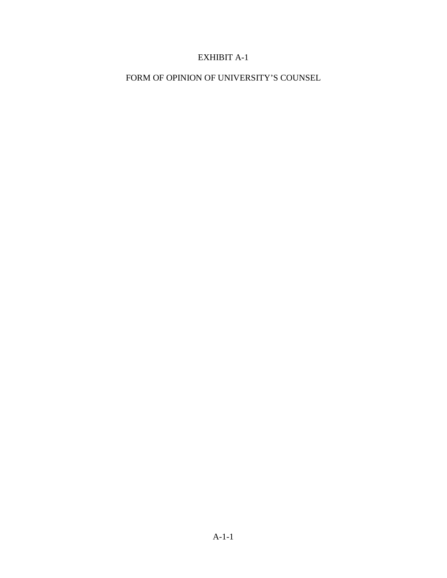# EXHIBIT A-1

FORM OF OPINION OF UNIVERSITY'S COUNSEL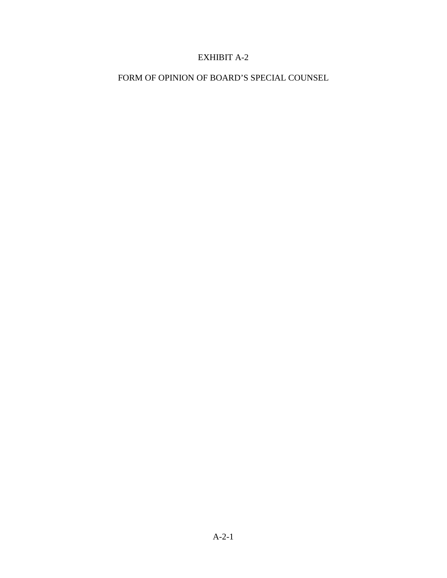## EXHIBIT A-2

FORM OF OPINION OF BOARD'S SPECIAL COUNSEL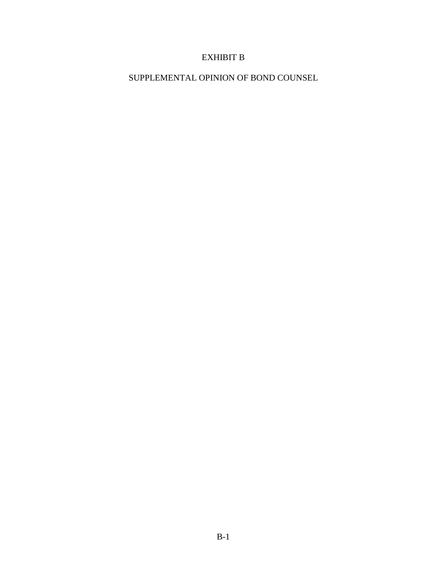# EXHIBIT B

SUPPLEMENTAL OPINION OF BOND COUNSEL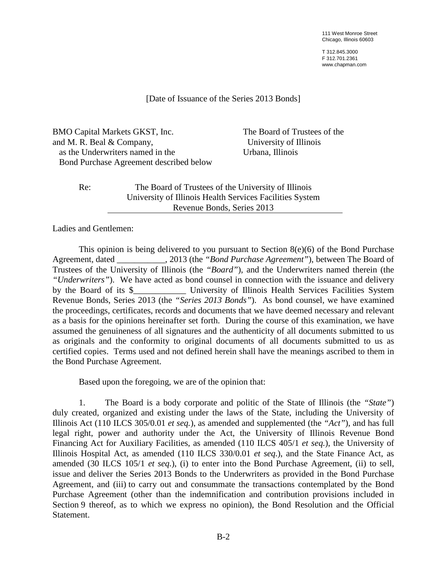111 West Monroe Street Chicago, Illinois 60603

T 312.845.3000 F 312.701.2361 www.chapman.com

[Date of Issuance of the Series 2013 Bonds]

BMO Capital Markets GKST, Inc. and M. R. Beal & Company, as the Underwriters named in the Bond Purchase Agreement described below

The Board of Trustees of the University of Illinois Urbana, Illinois

Re: The Board of Trustees of the University of Illinois University of Illinois Health Services Facilities System Revenue Bonds, Series 2013

Ladies and Gentlemen:

This opinion is being delivered to you pursuant to Section 8(e)(6) of the Bond Purchase Agreement, dated \_\_\_\_\_\_\_\_\_\_\_, 2013 (the *"Bond Purchase Agreement"*), between The Board of Trustees of the University of Illinois (the *"Board"*), and the Underwriters named therein (the *"Underwriters"*). We have acted as bond counsel in connection with the issuance and delivery by the Board of its \$ Thiversity of Illinois Health Services Facilities System Revenue Bonds, Series 2013 (the *"Series 2013 Bonds"*). As bond counsel, we have examined the proceedings, certificates, records and documents that we have deemed necessary and relevant as a basis for the opinions hereinafter set forth. During the course of this examination, we have assumed the genuineness of all signatures and the authenticity of all documents submitted to us as originals and the conformity to original documents of all documents submitted to us as certified copies. Terms used and not defined herein shall have the meanings ascribed to them in the Bond Purchase Agreement.

Based upon the foregoing, we are of the opinion that:

1. The Board is a body corporate and politic of the State of Illinois (the *"State"*) duly created, organized and existing under the laws of the State, including the University of Illinois Act (110 ILCS 305/0.01 *et seq.*), as amended and supplemented (the *"Act"*), and has full legal right, power and authority under the Act, the University of Illinois Revenue Bond Financing Act for Auxiliary Facilities, as amended (110 ILCS 405/1 *et seq.*), the University of Illinois Hospital Act, as amended (110 ILCS 330/0.01 *et seq.*), and the State Finance Act, as amended (30 ILCS 105/1 *et seq.*), (i) to enter into the Bond Purchase Agreement, (ii) to sell, issue and deliver the Series 2013 Bonds to the Underwriters as provided in the Bond Purchase Agreement, and (iii) to carry out and consummate the transactions contemplated by the Bond Purchase Agreement (other than the indemnification and contribution provisions included in Section 9 thereof, as to which we express no opinion), the Bond Resolution and the Official Statement.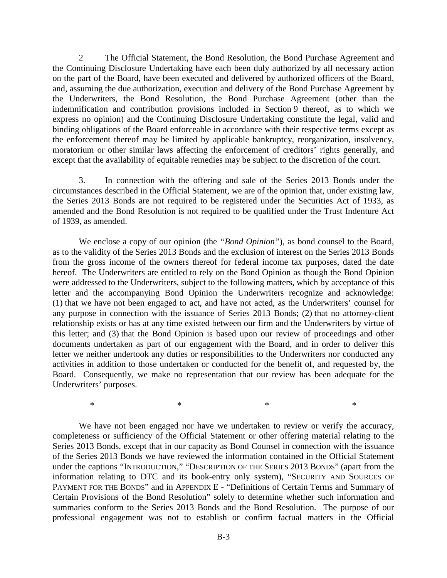2 The Official Statement, the Bond Resolution, the Bond Purchase Agreement and the Continuing Disclosure Undertaking have each been duly authorized by all necessary action on the part of the Board, have been executed and delivered by authorized officers of the Board, and, assuming the due authorization, execution and delivery of the Bond Purchase Agreement by the Underwriters, the Bond Resolution, the Bond Purchase Agreement (other than the indemnification and contribution provisions included in Section 9 thereof, as to which we express no opinion) and the Continuing Disclosure Undertaking constitute the legal, valid and binding obligations of the Board enforceable in accordance with their respective terms except as the enforcement thereof may be limited by applicable bankruptcy, reorganization, insolvency, moratorium or other similar laws affecting the enforcement of creditors' rights generally, and except that the availability of equitable remedies may be subject to the discretion of the court.

3. In connection with the offering and sale of the Series 2013 Bonds under the circumstances described in the Official Statement, we are of the opinion that, under existing law, the Series 2013 Bonds are not required to be registered under the Securities Act of 1933, as amended and the Bond Resolution is not required to be qualified under the Trust Indenture Act of 1939, as amended.

We enclose a copy of our opinion (the *"Bond Opinion"*), as bond counsel to the Board, as to the validity of the Series 2013 Bonds and the exclusion of interest on the Series 2013 Bonds from the gross income of the owners thereof for federal income tax purposes, dated the date hereof. The Underwriters are entitled to rely on the Bond Opinion as though the Bond Opinion were addressed to the Underwriters, subject to the following matters, which by acceptance of this letter and the accompanying Bond Opinion the Underwriters recognize and acknowledge: (1) that we have not been engaged to act, and have not acted, as the Underwriters' counsel for any purpose in connection with the issuance of Series 2013 Bonds; (2) that no attorney-client relationship exists or has at any time existed between our firm and the Underwriters by virtue of this letter; and (3) that the Bond Opinion is based upon our review of proceedings and other documents undertaken as part of our engagement with the Board, and in order to deliver this letter we neither undertook any duties or responsibilities to the Underwriters nor conducted any activities in addition to those undertaken or conducted for the benefit of, and requested by, the Board. Consequently, we make no representation that our review has been adequate for the Underwriters' purposes.

We have not been engaged nor have we undertaken to review or verify the accuracy, completeness or sufficiency of the Official Statement or other offering material relating to the Series 2013 Bonds, except that in our capacity as Bond Counsel in connection with the issuance of the Series 2013 Bonds we have reviewed the information contained in the Official Statement under the captions "INTRODUCTION," "DESCRIPTION OF THE SERIES 2013 BONDS" (apart from the information relating to DTC and its book-entry only system), "SECURITY AND SOURCES OF PAYMENT FOR THE BONDS" and in APPENDIX E - "Definitions of Certain Terms and Summary of Certain Provisions of the Bond Resolution" solely to determine whether such information and summaries conform to the Series 2013 Bonds and the Bond Resolution. The purpose of our professional engagement was not to establish or confirm factual matters in the Official

 $*$  \*  $*$  \*  $*$  \*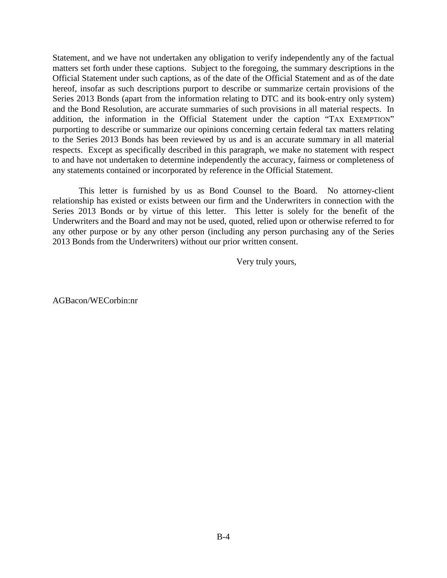Statement, and we have not undertaken any obligation to verify independently any of the factual matters set forth under these captions. Subject to the foregoing, the summary descriptions in the Official Statement under such captions, as of the date of the Official Statement and as of the date hereof, insofar as such descriptions purport to describe or summarize certain provisions of the Series 2013 Bonds (apart from the information relating to DTC and its book-entry only system) and the Bond Resolution, are accurate summaries of such provisions in all material respects. In addition, the information in the Official Statement under the caption "TAX EXEMPTION" purporting to describe or summarize our opinions concerning certain federal tax matters relating to the Series 2013 Bonds has been reviewed by us and is an accurate summary in all material respects. Except as specifically described in this paragraph, we make no statement with respect to and have not undertaken to determine independently the accuracy, fairness or completeness of any statements contained or incorporated by reference in the Official Statement.

This letter is furnished by us as Bond Counsel to the Board. No attorney-client relationship has existed or exists between our firm and the Underwriters in connection with the Series 2013 Bonds or by virtue of this letter. This letter is solely for the benefit of the Underwriters and the Board and may not be used, quoted, relied upon or otherwise referred to for any other purpose or by any other person (including any person purchasing any of the Series 2013 Bonds from the Underwriters) without our prior written consent.

Very truly yours,

AGBacon/WECorbin:nr